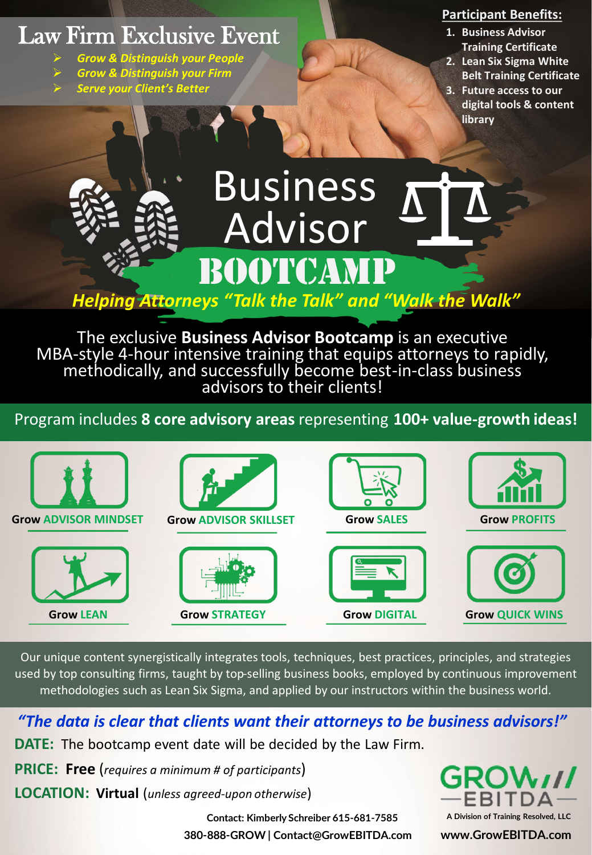# Law Firm Exclusive Event

- ➢ *Grow & Distinguish your People*
- ➢ *Grow & Distinguish your Firm*
- ➢ *Serve your Client's Better*

### **Participant Benefits:**

- **1. Business Advisor Training Certificate**
- **2. Lean Six Sigma White Belt Training Certificate**
- **3. Future access to our digital tools & content library**

# **Business** Advisor Bootcamp

*Helping Attorneys "Talk the Talk" and "Walk the Walk"*

The exclusive **Business Advisor Bootcamp** is an executive MBA-style 4-hour intensive training that equips attorneys to rapidly, methodically, and successfully become best-in-class business advisors to their clients!

Program includes **8 core advisory areas** representing **100+ value-growth ideas!**



Our unique content synergistically integrates tools, techniques, best practices, principles, and strategies used by top consulting firms, taught by top-selling business books, employed by continuous improvement methodologies such as Lean Six Sigma, and applied by our instructors within the business world.

*"The data is clear that clients want their attorneys to be business advisors!"*

**DATE:** The bootcamp event date will be decided by the Law Firm.

**PRICE: Free** (*requires a minimum # of participants*)

**LOCATION: Virtual** (*unless agreed-upon otherwise*)

**A Division of Training Resolved, LLC**

**380-888-GROW | Contact@GrowEBITDA.com www.GrowEBITDA.com Contact: Kimberly Schreiber 615-681-7585**